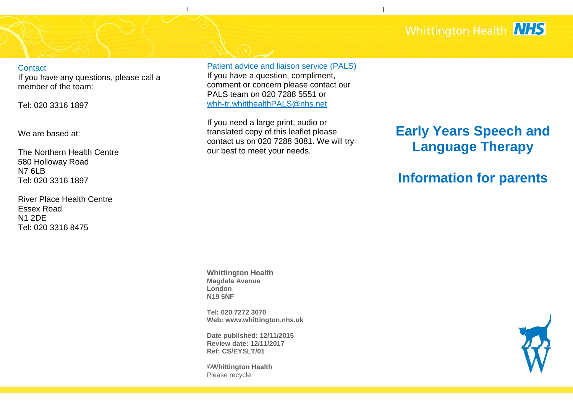## Whittington Health **NHS**

I

**Contact** 

If you have any questions, please call a member of the team:

Tel: 020 3316 1897

We are based at:

The Northern Health Centre 580 Holloway Road N7 6LB Tel: 020 3316 1897

River Place Health Centre Essex Road N1 2DE Tel: 020 3316 8475

Patient advice and liaison service (PALS)

I

v

If you have a question, compliment, comment or concern please contact our PALS team on 020 7288 5551 or [whh-tr.whitthealthPALS@nhs.net](mailto:whh-tr.whitthealthPALS@nhs.net)

If you need a large print, audio or translated copy of this leaflet please contact us on 020 7288 3081. We will try our best to meet your needs.

# **Early Years Speech and Language Therapy**

## **Information for parents**

**Whittington Health Magdala Avenue London N19 5NF**

**Tel: 020 7272 3070 Web: www.whittington.nhs.uk**

**Date published: 12/11/2015 Review date: 12/11/2017 Ref: CS/EYSLT/01**

**©Whittington Health** Please recycle